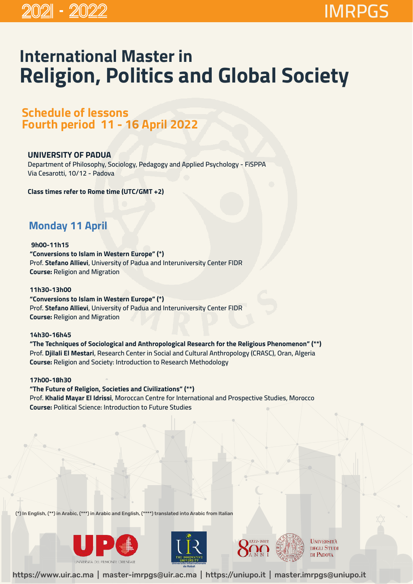# **International Master in Religion, Politics and Global Society**

**Schedule of lessons Fourth period 11 - 16 April 2022** 

### **UNIVERSITY OF PADUA**

**Department of Philosophy, Sociology, Pedagogy and Applied Psychology - FiSPPA Via Cesarotti, 10/12 - Padova**

**Class times refer to Rome time (UTC/GMT +2)** 

## **Monday 11 April**

 **9h00-11h15 "Conversions to Islam in Western Europe" (\*) Prof. Stefano Allievi, University of Padua and Interuniversity Center FIDR Course: Religion and Migration**

**11h30-13h00 "Conversions to Islam in Western Europe" (\*) Prof. Stefano Allievi, University of Padua and Interuniversity Center FIDR Course: Religion and Migration**

#### **14h30-16h45**

**"The Techniques of Sociological and Anthropological Research for the Religious Phenomenon" (\*\*) Prof. Djilali El Mestari, Research Center in Social and Cultural Anthropology (CRASC), Oran, Algeria Course: Religion and Society: Introduction to Research Methodology**

#### **17h00-18h30**

**"The Future of Religion, Societies and Civilizations" (\*\*) Prof. Khalid Mayar El Idrissi, Moroccan Centre for International and Prospective Studies, Morocco Course: Political Science: Introduction to Future Studies**

(\*) In English, (\*\*) in Arabic, (\*\*\*) in Arabic and English, (\*\*\*\*) translated into Arabic from Italian







**UNIVERSITÀ DEGLI STUDI** DI PADOVA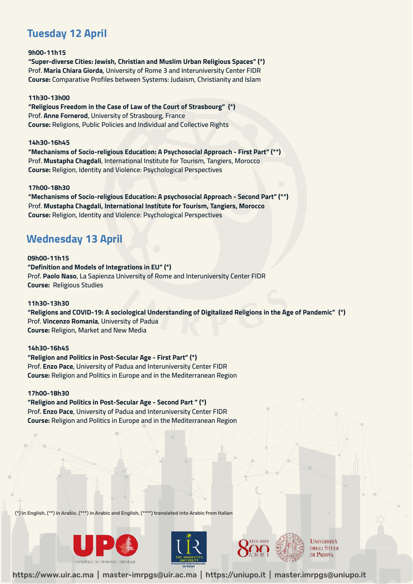### **Tuesday 12 April**

**9h00-11h15 "Super-diverse Cities: Jewish, Christian and Muslim Urban Religious Spaces" (\*) Prof. Maria Chiara Giorda, University of Rome 3 and Interuniversity Center FIDR Course: Comparative Profiles between Systems: Judaism, Christianity and Islam**

#### **11h30-13h00**

**"Religious Freedom in the Case of Law of the Court of Strasbourg" (\*) Prof. Anne Fornerod, University of Strasbourg, France Course: Religions, Public Policies and Individual and Collective Rights**

#### **14h30-16h45**

**"Mechanisms of Socio-religious Education: A Psychosocial Approach - First Part" (\*\*) Prof. Mustapha Chagdali, International Institute for Tourism, Tangiers, Morocco Course: Religion, Identity and Violence: Psychological Perspectives**

#### **17h00-18h30**

**"Mechanisms of Socio-religious Education: A psychosocial Approach - Second Part" (\*\*) Prof. Mustapha Chagdali, International Institute for Tourism, Tangiers, Morocco Course: Religion, Identity and Violence: Psychological Perspectives**

### **Wednesday 13 April**

**09h00-11h15 "Definition and Models of Integrations in EU" (\*) Prof. Paolo Naso, La Sapienza University of Rome and Interuniversity Center FIDR Course: Religious Studies**

#### **11h30-13h30**

**"Religions and COVID-19: A sociological Understanding of Digitalized Religions in the Age of Pandemic" (\*) Prof. Vincenzo Romania, University of Padua Course: Religion, Market and New Media**

#### **14h30-16h45**

**"Religion and Politics in Post-Secular Age - First Part" (\*) Prof. Enzo Pace, University of Padua and Interuniversity Center FIDR Course: Religion and Politics in Europe and in the Mediterranean Region**

#### **17h00-18h30**

**"Religion and Politics in Post-Secular Age - Second Part " (\*) Prof. Enzo Pace, University of Padua and Interuniversity Center FIDR Course: Religion and Politics in Europe and in the Mediterranean Region**

(\*) In English, (\*\*) in Arabic, (\*\*\*) in Arabic and English, (\*\*\*\*) translated into Arabic from Italian







**UNIVERSITÀ DEGLI STUDI** DI PADOVA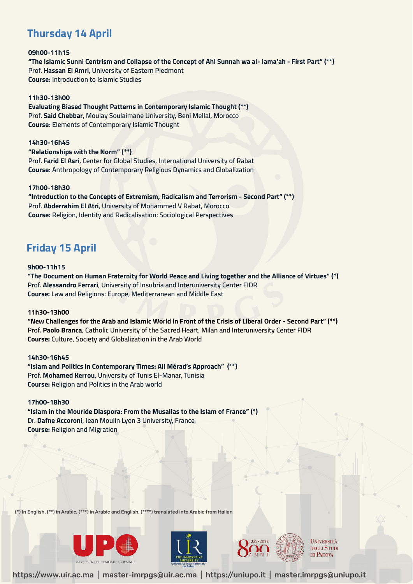### **Thursday 14 April**

#### **09h00-11h15 "The Islamic Sunni Centrism and Collapse of the Concept of Ahl Sunnah wa al- Jama'ah - First Part" (\*\*) Prof. Hassan El Amri, University of Eastern Piedmont Course: Introduction to Islamic Studies**

#### **11h30-13h00**

**Evaluating Biased Thought Patterns in Contemporary Islamic Thought (\*\*) Prof. Said Chebbar, Moulay Soulaimane University, Beni Mellal, Morocco Course: Elements of Contemporary Islamic Thought**

#### **14h30-16h45**

**"Relationships with the Norm" (\*\*) Prof. Farid El Asri, Center for Global Studies, International University of Rabat Course: Anthropology of Contemporary Religious Dynamics and Globalization**

#### **17h00-18h30**

**"Introduction to the Concepts of Extremism, Radicalism and Terrorism - Second Part" (\*\*) Prof. Abderrahim El Atri, University of Mohammed V Rabat, Morocco Course: Religion, Identity and Radicalisation: Sociological Perspectives**

### **Friday 15 April**

#### **9h00-11h15**

**"The Document on Human Fraternity for World Peace and Living together and the Alliance of Virtues" (\*) Prof. Alessandro Ferrari, University of Insubria and Interuniversity Center FIDR Course: Law and Religions: Europe, Mediterranean and Middle East**

#### **11h30-13h00**

**"New Challenges for the Arab and Islamic World in Front of the Crisis of Liberal Order - Second Part" (\*\*) Prof. Paolo Branca, Catholic University of the Sacred Heart, Milan and Interuniversity Center FIDR Course: Culture, Society and Globalization in the Arab World**

#### **14h30-16h45**

**"Islam and Politics in Contemporary Times: Ali Mérad's Approach" (\*\*) Prof. Mohamed Kerrou, University of Tunis El-Manar, Tunisia Course: Religion and Politics in the Arab world** 

#### **17h00-18h30**

**"Islam in the Mouride Diaspora: From the Musallas to the Islam of France" (\*) Dr. Dafne Accoroni, Jean Moulin Lyon 3 University, France Course: Religion and Migration**

(\*) In English, (\*\*) in Arabic, (\*\*\*) in Arabic and English, (\*\*\*\*) translated into Arabic from Italian







**UNIVERSITÀ DEGLI STUDI** DI PADOVA